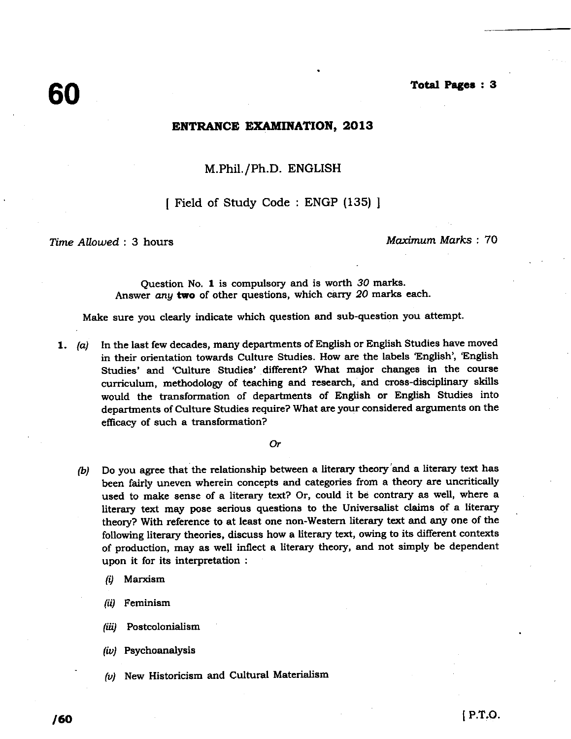#### Total **Pages : 3**

### **ENTRANCE EXAMINATION, 2013**

# M.Phil./Ph.D. ENGLISH

# [ Field of Study Code : ENGP (135) ]

*Time* AUowed : 3 hours *Maximum Marks : 70*

Question No. 1 is compulsory and is worth 30 marks. Answer any two of other questions, which carry 20 marks each.

**Make sure** you clearly **indicate which question and sub**-**question** you attempt.

1. (a) In the last few decades, many departments of English or English Studies have moved in their orientation towards Culture Studies. How are the labels 'English', 'English Studies' and 'Culture Studies' different? What major changes in the course curriculum, methodology of teaching and research, and cross-disciplinary skills would the transformation of departments of English or English Studies into departments of Culture Studies require? What are your considered arguments on the efficacy of such a transformation?

Or

- (b) Do you **agree** that the relationship between a literary theory'and a literary text has been fairly uneven wherein concepts **and categories** from a theory are uncritically used to make sense of a literary text? Or, could it be contrary as well, where a literary text may pose **serious questions** to the Universalist **claims** of a literary theory? With reference to at **least one non**-Western literary text and any one of the following literary theories, discuss how a literary text, **owing to** its different contexts of production, may as well inflect a literary theory, and not simply be dependent upon it for its interpretation
	- **(1) Marxism**
	- Feminism (ii)
	- Postcolonialism (iii)
	- $(iv)$  Psychoanalysis
- $(v)$  New Historicism and Cultural Materialism (*w*) Psychoanalysis<br>
(*v*) New Historicism and Cultural Materialism<br>
(**60** 1 P.T.O.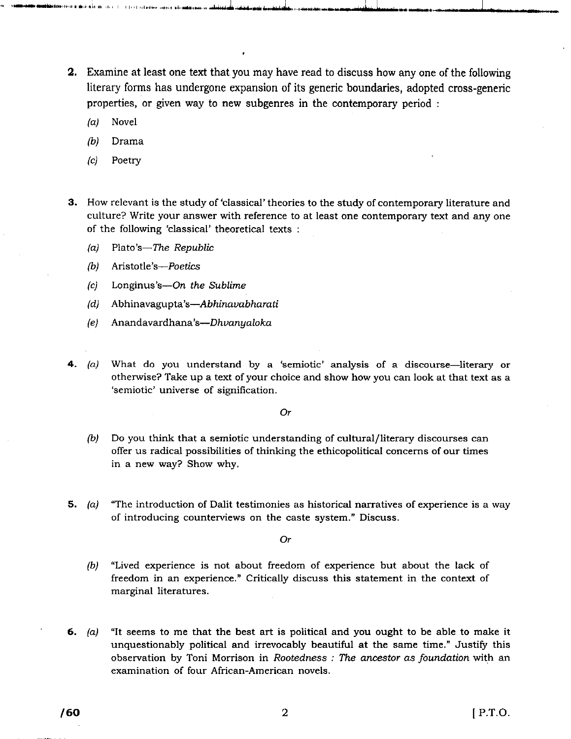**2. Examine at least one text that** you may have **read to discuss how any one of the following** literary forms **has undergone expansion of its generic boundaries**, **adopted cross**-**generic properties**, **or given way to new subgenres in the contemporary period**

**w was seen the second was seen to the communication of the second and the second and the second of the second of the second of the second of the second of the second of the second of the second of the second of the second** 

- **(a) Novel**
- (b) Drama
- (c) Poetry
- 3. How relevant is the study **of `classical**' theories to the study of contemporary literature and culture? Write your answer with reference to at least one contemporary text and any one of the following 'classical' theoretical texts :
	- $(a)$  Plato's—The Republic
	- (b) Aristotle's-Poetics
	- (c) Longinus's-On *the* Sublime
	- (d) Abhinavagupta's-Abhinavabharati
	- (e) Anandavardhana's-Dhvanyaloka
- 4.  $(a)$  What do you understand by a 'semiotic' analysis of a discourse—literary or otherwise? Take up a text of your choice and show how you can look at that text as a `semiotic' universe of signification.

#### Or

- (b) Do you think that a semiotic understanding of cultural/ literary discourses can offer us radical possibilities of thinking the ethicopolitical concerns of our times in a new way? Show why.
- 5. (a) "The introduction of Dalit testimonies as historical narratives of experience is a way of introducing counterviews on the caste system." Discuss.

Or

- (b) "Lived experience is not about freedom of experience but about the lack of freedom in an experience." Critically discuss this statement in the context of marginal literatures.
- 6.  $(a)$  "It seems to me that the best art is political and you ought to be able to make it unquestionably political and irrevocably beautiful at the same time." Justify this observation by Toni Morrison in *Rootedness : The ancestor as foundation* with an examination of four African-American novels.<br> **/60** 2 [ P.T.O. examination of four African-American novels.